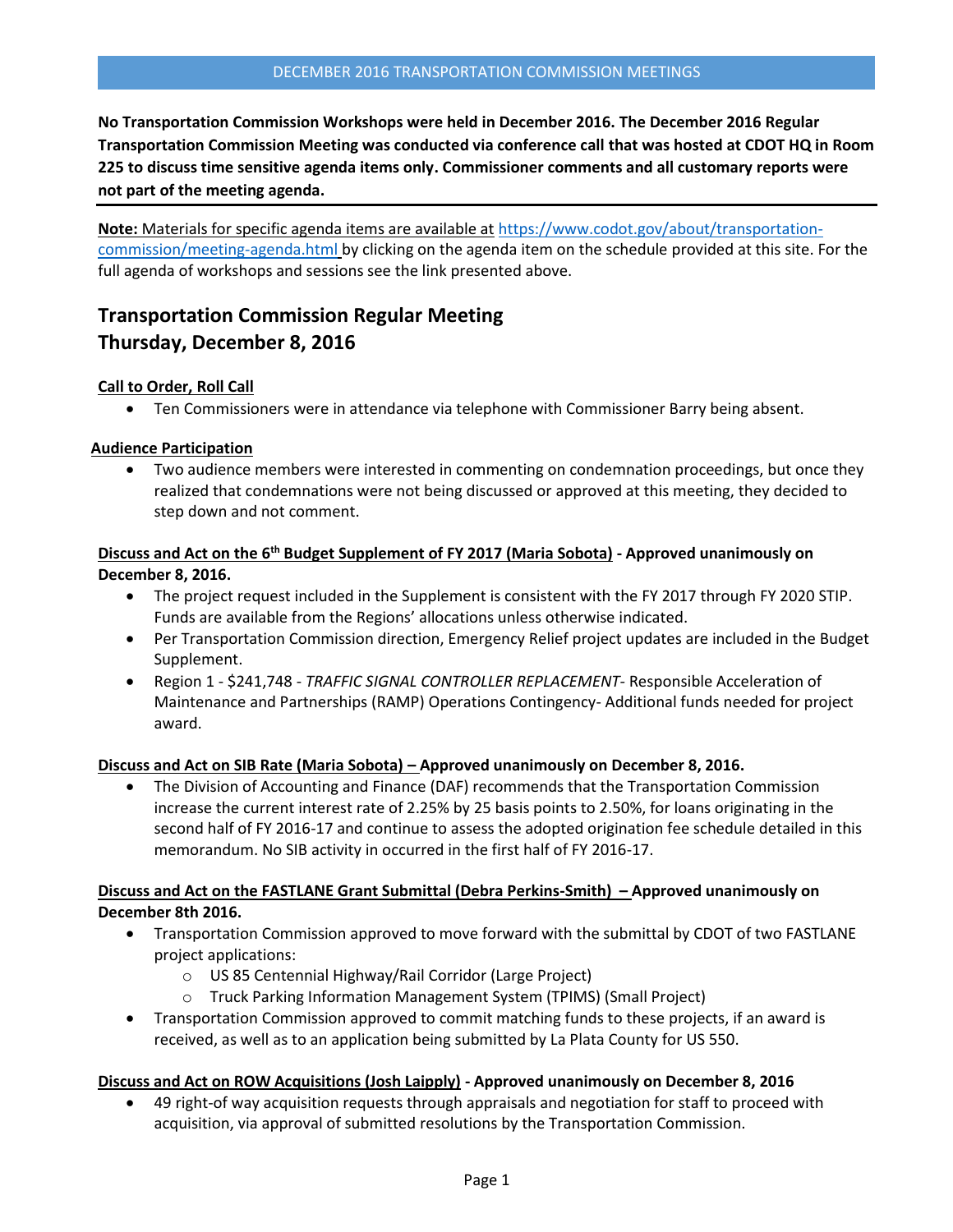**No Transportation Commission Workshops were held in December 2016. The December 2016 Regular Transportation Commission Meeting was conducted via conference call that was hosted at CDOT HQ in Room 225 to discuss time sensitive agenda items only. Commissioner comments and all customary reports were not part of the meeting agenda.** 

**Note:** Materials for specific agenda items are available at [https://www.codot.gov/about/transportation](https://www.codot.gov/about/transportation-commission/meeting-agenda.html)[commission/meeting-agenda.html](https://www.codot.gov/about/transportation-commission/meeting-agenda.html) by clicking on the agenda item on the schedule provided at this site. For the full agenda of workshops and sessions see the link presented above.

# **Transportation Commission Regular Meeting Thursday, December 8, 2016**

## **Call to Order, Roll Call**

Ten Commissioners were in attendance via telephone with Commissioner Barry being absent.

## **Audience Participation**

 Two audience members were interested in commenting on condemnation proceedings, but once they realized that condemnations were not being discussed or approved at this meeting, they decided to step down and not comment.

## **Discuss and Act on the 6 th [Budget Supplement of FY 2017](https://www.codot.gov/about/transportation-commission/current-agenda-and-supporting-documents/12-9th-budget-supplement.pdf) (Maria Sobota) - Approved unanimously on December 8, 2016.**

- The project request included in the Supplement is consistent with the FY 2017 through FY 2020 STIP. Funds are available from the Regions' allocations unless otherwise indicated.
- Per Transportation Commission direction, Emergency Relief project updates are included in the Budget Supplement.
- Region 1 \$241,748 *TRAFFIC SIGNAL CONTROLLER REPLACEMENT-* Responsible Acceleration of Maintenance and Partnerships (RAMP) Operations Contingency- Additional funds needed for project award.

## **Discuss and Act on SIB Rate (Maria Sobota) – Approved unanimously on December 8, 2016.**

 The Division of Accounting and Finance (DAF) recommends that the Transportation Commission increase the current interest rate of 2.25% by 25 basis points to 2.50%, for loans originating in the second half of FY 2016-17 and continue to assess the adopted origination fee schedule detailed in this memorandum. No SIB activity in occurred in the first half of FY 2016-17.

## **Discuss and Act on the FASTLANE Grant Submittal (Debra Perkins-Smith) – Approved unanimously on December 8th 2016.**

- Transportation Commission approved to move forward with the submittal by CDOT of two FASTLANE project applications:
	- o US 85 Centennial Highway/Rail Corridor (Large Project)
	- o Truck Parking Information Management System (TPIMS) (Small Project)
- Transportation Commission approved to commit matching funds to these projects, if an award is received, as well as to an application being submitted by La Plata County for US 550.

## **Discuss and Act on ROW Acquisitions (Josh Laipply) - Approved unanimously on December 8, 2016**

 49 right-of way acquisition requests through appraisals and negotiation for staff to proceed with acquisition, via approval of submitted resolutions by the Transportation Commission.